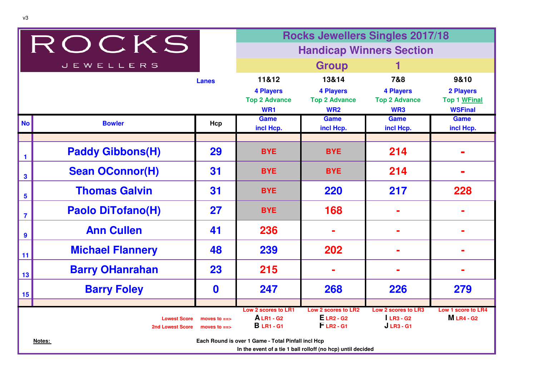|                         |                                                          |                                | <b>Rocks Jewellers Singles 2017/18</b>                                                                           |                                                             |                                                         |                                               |
|-------------------------|----------------------------------------------------------|--------------------------------|------------------------------------------------------------------------------------------------------------------|-------------------------------------------------------------|---------------------------------------------------------|-----------------------------------------------|
|                         | ROCKS                                                    |                                |                                                                                                                  | <b>Handicap Winners Section</b>                             |                                                         |                                               |
|                         | <b>JEWELLERS</b>                                         |                                |                                                                                                                  | <b>Group</b>                                                |                                                         |                                               |
|                         |                                                          | <b>Lanes</b>                   | 11&12                                                                                                            | 13&14                                                       | 7&8                                                     | 9&10                                          |
|                         |                                                          |                                | <b>4 Players</b>                                                                                                 | <b>4 Players</b>                                            | <b>4 Players</b>                                        | 2 Players                                     |
|                         |                                                          |                                | <b>Top 2 Advance</b><br>WR1                                                                                      | <b>Top 2 Advance</b><br><b>WR2</b>                          | <b>Top 2 Advance</b><br>WR3                             | Top 1 WFinal<br><b>WSFinal</b>                |
| <b>No</b>               | <b>Bowler</b>                                            | Hcp                            | <b>Game</b>                                                                                                      | Game                                                        | <b>Game</b>                                             | <b>Game</b>                                   |
|                         |                                                          |                                | incl Hcp.                                                                                                        | incl Hcp.                                                   | incl Hcp.                                               | incl Hcp.                                     |
| -1                      | <b>Paddy Gibbons(H)</b>                                  | 29                             | <b>BYE</b>                                                                                                       | <b>BYE</b>                                                  | 214                                                     |                                               |
| $\mathbf{3}$            | <b>Sean OConnor(H)</b>                                   | 31                             | <b>BYE</b>                                                                                                       | <b>BYE</b>                                                  | 214                                                     |                                               |
| $5\phantom{a}$          | <b>Thomas Galvin</b>                                     | 31                             | <b>BYE</b>                                                                                                       | 220                                                         | 217                                                     | 228                                           |
| $\overline{\mathbf{7}}$ | <b>Paolo DiTofano(H)</b>                                 | 27                             | <b>BYE</b>                                                                                                       | 168                                                         |                                                         |                                               |
| $\boldsymbol{9}$        | <b>Ann Cullen</b>                                        | 41                             | 236                                                                                                              |                                                             |                                                         |                                               |
| 11                      | <b>Michael Flannery</b>                                  | 48                             | 239                                                                                                              | 202                                                         |                                                         |                                               |
| 13                      | <b>Barry OHanrahan</b>                                   | 23                             | 215                                                                                                              |                                                             |                                                         |                                               |
| 15                      | <b>Barry Foley</b>                                       | $\mathbf 0$                    | 247                                                                                                              | 268                                                         | 226                                                     | 279                                           |
|                         | <b>Lowest Score</b><br><b>2nd Lowest Score</b><br>Notes: | moves to $==$<br>moves to $==$ | Low 2 scores to LR1<br><b>ALR1-G2</b><br><b>B</b> LR1 - G1<br>Each Round is over 1 Game - Total Pinfall incl Hcp | Low 2 scores to LR2<br><b>ELR2 - G2</b><br>$FLR2 - G1$      | <b>Low 2 scores to LR3</b><br>$LR3 - G2$<br>$JLR3 - G1$ | <b>Low 1 score to LR4</b><br><b>MLR4 - G2</b> |
|                         |                                                          |                                |                                                                                                                  | In the event of a tie 1 ball rolloff (no hcp) until decided |                                                         |                                               |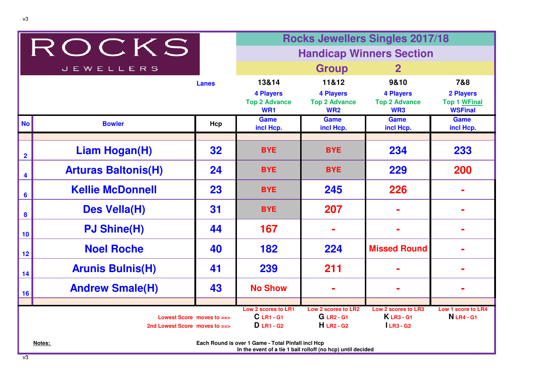|                         |                               |              | <b>Rocks Jewellers Singles 2017/18</b>                                                                            |                                                        |                                                 |                                                    |
|-------------------------|-------------------------------|--------------|-------------------------------------------------------------------------------------------------------------------|--------------------------------------------------------|-------------------------------------------------|----------------------------------------------------|
|                         | ROCKS                         |              |                                                                                                                   |                                                        | <b>Handicap Winners Section</b>                 |                                                    |
|                         | <b>JEWELLERS</b>              |              |                                                                                                                   | <b>Group</b>                                           | $\mathbf{2}$                                    |                                                    |
|                         |                               | <b>Lanes</b> | 13&14                                                                                                             | 11&12                                                  | 9&10                                            | 7&8                                                |
|                         |                               |              | <b>4 Players</b><br><b>Top 2 Advance</b><br>WR1                                                                   | <b>4 Players</b><br><b>Top 2 Advance</b><br><b>WR2</b> | <b>4 Players</b><br><b>Top 2 Advance</b><br>WR3 | 2 Players<br><b>Top 1 WFinal</b><br><b>WSFinal</b> |
| <b>No</b>               | <b>Bowler</b>                 | Hcp          | Game<br>incl Hcp.                                                                                                 | <b>Game</b><br>incl Hcp.                               | <b>Game</b><br>incl Hcp.                        | <b>Game</b><br>incl Hcp.                           |
| $\overline{\mathbf{2}}$ | <b>Liam Hogan(H)</b>          | 32           | <b>BYE</b>                                                                                                        | <b>BYE</b>                                             | 234                                             | 233                                                |
| 4                       | <b>Arturas Baltonis(H)</b>    | 24           | <b>BYE</b>                                                                                                        | <b>BYE</b>                                             | 229                                             | 200                                                |
| $6\phantom{1}6$         | <b>Kellie McDonnell</b>       | 23           | <b>BYE</b>                                                                                                        | 245                                                    | 226                                             |                                                    |
| $\boldsymbol{8}$        | Des Vella(H)                  | 31           | <b>BYE</b>                                                                                                        | 207                                                    |                                                 |                                                    |
| 10                      | <b>PJ Shine(H)</b>            | 44           | 167                                                                                                               |                                                        |                                                 |                                                    |
| 12                      | <b>Noel Roche</b>             | 40           | 182                                                                                                               | 224                                                    | <b>Missed Round</b>                             |                                                    |
| 14                      | <b>Arunis Bulnis(H)</b>       | 41           | 239                                                                                                               | 211                                                    |                                                 |                                                    |
| 16                      | <b>Andrew Smale(H)</b>        | 43           | <b>No Show</b>                                                                                                    |                                                        |                                                 |                                                    |
|                         |                               |              | Low 2 scores to LR1                                                                                               | <b>Low 2 scores to LR2</b>                             | Low 2 scores to LR3                             | Low 1 score to LR4                                 |
|                         | Lowest Score moves to $=$     |              | C LR1 - G1                                                                                                        | <b>G</b> LR <sub>2</sub> - G <sub>1</sub>              | <b>KLR3-G1</b>                                  | <b>N</b> LR4 - G1                                  |
|                         | 2nd Lowest Score moves to ==> |              | $D$ LR1 - G <sub>2</sub>                                                                                          | $H$ LR <sub>2</sub> - G <sub>2</sub>                   | $LR3 - G2$                                      |                                                    |
|                         | Notes:                        |              | Each Round is over 1 Game - Total Pinfall incl Hcp<br>In the event of a tie 1 ball rolloff (no hcp) until decided |                                                        |                                                 |                                                    |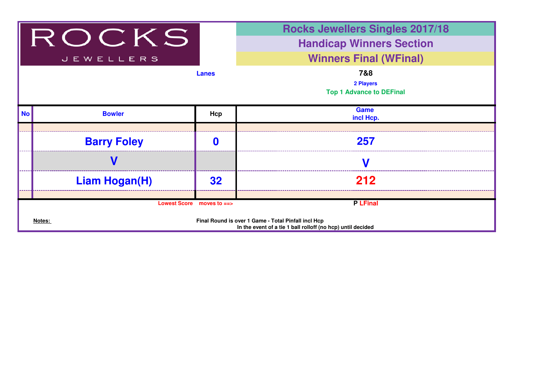

## **Rocks Jewellers Singles 2017/18**

## **Handicap Winners Section**

## **Winners Final (WFinal)**

| <b>Lanes</b> | 7&8                             |
|--------------|---------------------------------|
|              | 2 Players                       |
|              | <b>Top 1 Advance to DEFinal</b> |
|              |                                 |
|              | Game                            |

| $\mathsf{In}$ | <b>Bowler</b>                                                                                                                | Hcp | Game<br>incl Hcp. |  |  |  |
|---------------|------------------------------------------------------------------------------------------------------------------------------|-----|-------------------|--|--|--|
|               |                                                                                                                              |     |                   |  |  |  |
|               | <b>Barry Foley</b>                                                                                                           |     | 257               |  |  |  |
|               |                                                                                                                              |     |                   |  |  |  |
|               | <b>Liam Hogan(H)</b>                                                                                                         | 32  | 212               |  |  |  |
|               |                                                                                                                              |     |                   |  |  |  |
|               | Lowest Score moves to ==>                                                                                                    |     | <b>P</b> LFinal   |  |  |  |
|               | Final Round is over 1 Game - Total Pinfall incl Hcp<br>Notes:<br>In the event of a tie 1 ball rolloff (no hcp) until decided |     |                   |  |  |  |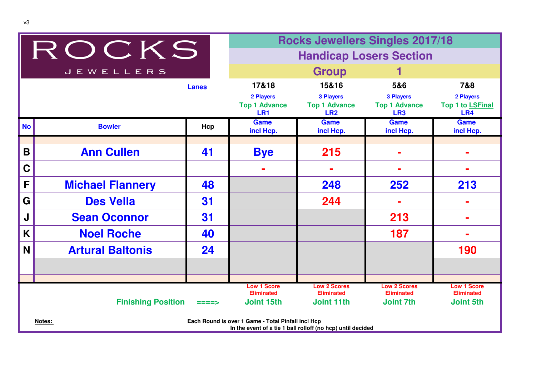|             |                           |              | <b>Rocks Jewellers Singles 2017/18</b>                                                                            |                                                             |                                                             |                                      |
|-------------|---------------------------|--------------|-------------------------------------------------------------------------------------------------------------------|-------------------------------------------------------------|-------------------------------------------------------------|--------------------------------------|
|             | ROCKS                     |              |                                                                                                                   | <b>Handicap Losers Section</b>                              |                                                             |                                      |
|             | <b>JEWELLERS</b>          |              |                                                                                                                   | <b>Group</b>                                                |                                                             |                                      |
|             |                           | <b>Lanes</b> | 17&18                                                                                                             | 15&16                                                       | 5&6                                                         | 7&8                                  |
|             |                           |              | 2 Players<br><b>Top 1 Advance</b><br>LR <sub>1</sub>                                                              | <b>3 Players</b><br><b>Top 1 Advance</b><br>LR <sub>2</sub> | <b>3 Players</b><br><b>Top 1 Advance</b><br>LR <sub>3</sub> | 2 Players<br>Top 1 to LSFinal<br>LR4 |
| <b>No</b>   | <b>Bowler</b>             | Hcp          | <b>Game</b><br>incl Hcp.                                                                                          | <b>Game</b><br>incl Hcp.                                    | <b>Game</b><br>incl Hcp.                                    | <b>Game</b><br>incl Hcp.             |
|             |                           |              |                                                                                                                   |                                                             |                                                             |                                      |
| B           | <b>Ann Cullen</b>         | 41           | <b>Bye</b>                                                                                                        | 215                                                         |                                                             |                                      |
| $\mathbf C$ |                           |              |                                                                                                                   |                                                             |                                                             |                                      |
| F           | <b>Michael Flannery</b>   | 48           |                                                                                                                   | 248                                                         | 252                                                         | 213                                  |
| G           | <b>Des Vella</b>          | 31           |                                                                                                                   | 244                                                         |                                                             |                                      |
| J           | <b>Sean Oconnor</b>       | 31           |                                                                                                                   |                                                             | 213                                                         |                                      |
| K           | <b>Noel Roche</b>         | 40           |                                                                                                                   |                                                             | 187                                                         |                                      |
| N           | <b>Artural Baltonis</b>   | 24           |                                                                                                                   |                                                             |                                                             | 190                                  |
|             |                           |              |                                                                                                                   |                                                             |                                                             |                                      |
|             |                           |              | <b>Low 1 Score</b>                                                                                                | <b>Low 2 Scores</b>                                         | <b>Low 2 Scores</b>                                         | <b>Low 1 Score</b>                   |
|             |                           |              | <b>Eliminated</b>                                                                                                 | <b>Eliminated</b>                                           | <b>Eliminated</b>                                           | <b>Eliminated</b>                    |
|             | <b>Finishing Position</b> | ====>        | <b>Joint 15th</b>                                                                                                 | <b>Joint 11th</b>                                           | <b>Joint 7th</b>                                            | <b>Joint 5th</b>                     |
|             | Notes:                    |              | Each Round is over 1 Game - Total Pinfall incl Hcp<br>In the event of a tie 1 ball rolloff (no hcp) until decided |                                                             |                                                             |                                      |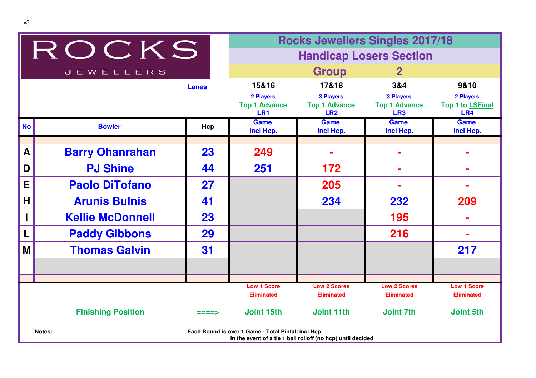|                  | <b>Rocks Jewellers Singles 2017/18</b><br>ROCKS |              |                                                                                                                   |                                                             |                                                             |                                      |
|------------------|-------------------------------------------------|--------------|-------------------------------------------------------------------------------------------------------------------|-------------------------------------------------------------|-------------------------------------------------------------|--------------------------------------|
|                  |                                                 |              |                                                                                                                   |                                                             | <b>Handicap Losers Section</b>                              |                                      |
|                  | <b>JEWELLERS</b>                                |              |                                                                                                                   | <b>Group</b>                                                | $\mathbf{2}$                                                |                                      |
|                  |                                                 | <b>Lanes</b> | 15&16                                                                                                             | 17&18                                                       | 3&4                                                         | 9&10                                 |
|                  |                                                 |              | 2 Players<br><b>Top 1 Advance</b><br>LR <sub>1</sub>                                                              | <b>3 Players</b><br><b>Top 1 Advance</b><br>LR <sub>2</sub> | <b>3 Players</b><br><b>Top 1 Advance</b><br>LR <sub>3</sub> | 2 Players<br>Top 1 to LSFinal<br>LR4 |
| <b>No</b>        | <b>Bowler</b>                                   | Hcp          | <b>Game</b><br>incl Hcp.                                                                                          | <b>Game</b><br>incl Hcp.                                    | <b>Game</b><br>incl Hcp.                                    | <b>Game</b><br>incl Hcp.             |
|                  |                                                 |              |                                                                                                                   |                                                             |                                                             |                                      |
| $\boldsymbol{A}$ | <b>Barry Ohanrahan</b>                          | 23           | 249                                                                                                               |                                                             |                                                             |                                      |
| D                | <b>PJ Shine</b>                                 | 44           | 251                                                                                                               | 172                                                         |                                                             |                                      |
| E                | <b>Paolo DiTofano</b>                           | 27           |                                                                                                                   | 205                                                         |                                                             |                                      |
| H                | <b>Arunis Bulnis</b>                            | 41           |                                                                                                                   | 234                                                         | 232                                                         | 209                                  |
|                  | <b>Kellie McDonnell</b>                         | 23           |                                                                                                                   |                                                             | 195                                                         |                                      |
|                  | <b>Paddy Gibbons</b>                            | 29           |                                                                                                                   |                                                             | 216                                                         | ÷                                    |
| M                | <b>Thomas Galvin</b>                            | 31           |                                                                                                                   |                                                             |                                                             | 217                                  |
|                  |                                                 |              |                                                                                                                   |                                                             |                                                             |                                      |
|                  |                                                 |              | <b>Low 1 Score</b>                                                                                                | <b>Low 2 Scores</b>                                         | <b>Low 2 Scores</b>                                         | <b>Low 1 Score</b>                   |
|                  |                                                 |              | <b>Eliminated</b>                                                                                                 | <b>Eliminated</b>                                           | <b>Eliminated</b>                                           | <b>Eliminated</b>                    |
|                  | <b>Finishing Position</b>                       |              | Joint 15th                                                                                                        | <b>Joint 11th</b>                                           | Joint 7th                                                   | <b>Joint 5th</b>                     |
|                  | Notes:                                          |              | Each Round is over 1 Game - Total Pinfall incl Hcp<br>In the event of a tie 1 ball rolloff (no hcp) until decided |                                                             |                                                             |                                      |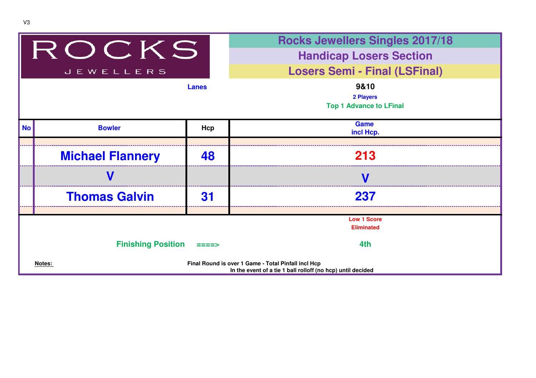|           |                           |              | <b>Rocks Jewellers Singles 2017/18</b>                                                                             |  |  |
|-----------|---------------------------|--------------|--------------------------------------------------------------------------------------------------------------------|--|--|
| ROCKS     |                           |              | <b>Handicap Losers Section</b>                                                                                     |  |  |
|           | <b>JEWELLERS</b>          |              | <b>Losers Semi - Final (LSFinal)</b>                                                                               |  |  |
|           |                           | <b>Lanes</b> | 9&10<br>2 Players<br><b>Top 1 Advance to LFinal</b>                                                                |  |  |
| <b>No</b> | <b>Bowler</b>             | Hcp          | Game<br>incl Hcp.                                                                                                  |  |  |
|           |                           |              |                                                                                                                    |  |  |
|           | <b>Michael Flannery</b>   | 48           | 213                                                                                                                |  |  |
|           |                           |              | $\mathbf{V}$                                                                                                       |  |  |
|           | <b>Thomas Galvin</b>      | 31           | 237                                                                                                                |  |  |
|           |                           |              |                                                                                                                    |  |  |
|           |                           |              | <b>Low 1 Score</b><br><b>Eliminated</b>                                                                            |  |  |
|           | <b>Finishing Position</b> | ====>        | 4th                                                                                                                |  |  |
|           | Notes:                    |              | Final Round is over 1 Game - Total Pinfall incl Hcp<br>In the event of a tie 1 ball rolloff (no hcp) until decided |  |  |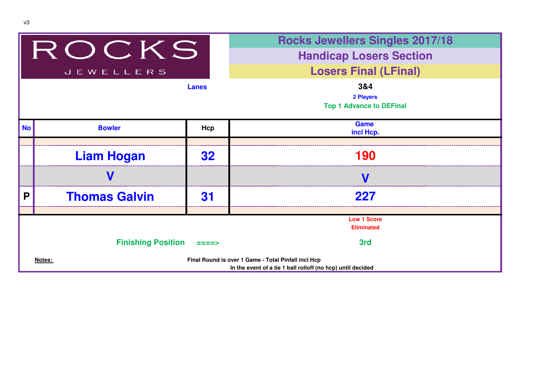| ROCKS     |                           |                 | <b>Rocks Jewellers Singles 2017/18</b>                                                                             |  |  |  |  |
|-----------|---------------------------|-----------------|--------------------------------------------------------------------------------------------------------------------|--|--|--|--|
|           |                           |                 | <b>Handicap Losers Section</b>                                                                                     |  |  |  |  |
|           | <b>JEWELLERS</b>          |                 | <b>Losers Final (LFinal)</b>                                                                                       |  |  |  |  |
|           |                           | <b>Lanes</b>    | 3&4<br>2 Players<br><b>Top 1 Advance to DEFinal</b>                                                                |  |  |  |  |
| <b>No</b> | <b>Bowler</b>             | Hcp             | <b>Game</b><br>incl Hcp.                                                                                           |  |  |  |  |
|           |                           |                 |                                                                                                                    |  |  |  |  |
|           | <b>Liam Hogan</b>         | <b>32</b>       | 190                                                                                                                |  |  |  |  |
|           |                           |                 |                                                                                                                    |  |  |  |  |
| P         | <b>Thomas Galvin</b>      | 31              | 227                                                                                                                |  |  |  |  |
|           |                           |                 |                                                                                                                    |  |  |  |  |
|           |                           |                 | <b>Low 1 Score</b><br><b>Eliminated</b>                                                                            |  |  |  |  |
|           | <b>Finishing Position</b> | $=$ $=$ $=$ $>$ | 3rd                                                                                                                |  |  |  |  |
|           | Notes:                    |                 | Final Round is over 1 Game - Total Pinfall incl Hcp<br>In the event of a tie 1 ball rolloff (no hcp) until decided |  |  |  |  |

v3